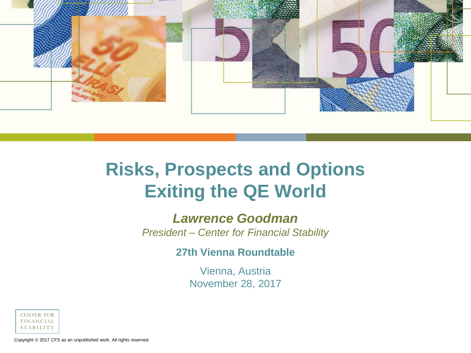

# **Risks, Prospects and Options Exiting the QE World**

#### *Lawrence Goodman*

*President – Center for Financial Stability*

**27th Vienna Roundtable**

Vienna, Austria November 28, 2017



Copyright © 2017 CFS as an unpublished work. All rights reserved.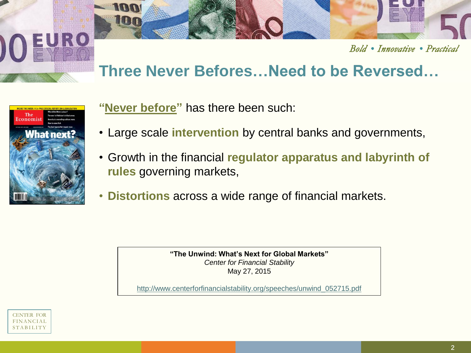

#### Bold • Innovative • Practical

# **Three Never Befores…Need to be Reversed…**



**"Never before"** has there been such:

- Large scale **intervention** by central banks and governments,
- Growth in the financial **regulator apparatus and labyrinth of rules** governing markets,
- **Distortions** across a wide range of financial markets.

**"The Unwind: What's Next for Global Markets"**  *Center for Financial Stability* May 27, 2015

http://www.centerforfinancialstability.org/speeches/unwind\_052715.pdf

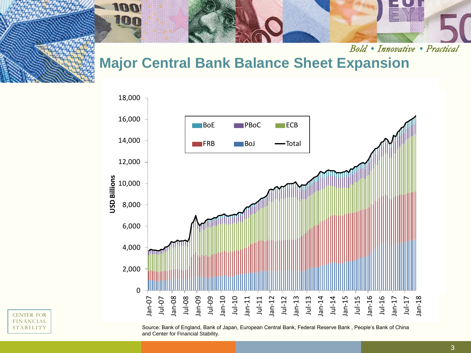100 100

Bold • Innovative • Practical

# **Major Central Bank Balance Sheet Expansion**



Source: Bank of England, Bank of Japan, European Central Bank, Federal Reserve Bank , People's Bank of China and Center for Financial Stability.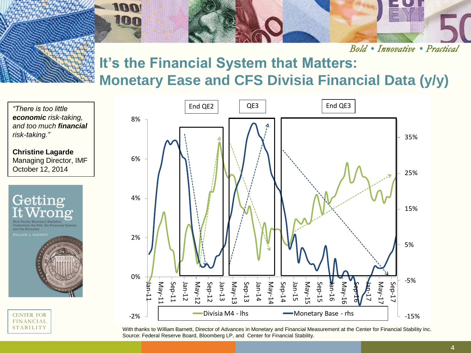

Bold • Innovative • Practical

# **It's the Financial System that Matters: Monetary Ease and CFS Divisia Financial Data (y/y)**

*"There is too little economic risk-taking, and too much financial risk-taking."* **Christine Lagarde** Managing Director, IMF October 12, 2014 Getting and the Economy CENTER FOR **FINANCIAL** 

**STABILITY** 



With thanks to William Barnett, Director of Advances in Monetary and Financial Measurement at the Center for Financial Stability Inc. Source: Federal Reserve Board, Bloomberg LP, and Center for Financial Stability.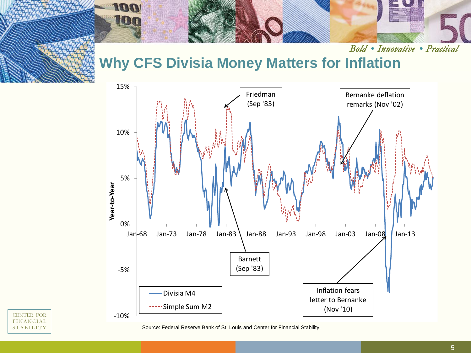

Bold • Innovative • Practical

# **Why CFS Divisia Money Matters for Inflation**



#### CENTER FOR FINANCIAL **STABILITY**

Source: Federal Reserve Bank of St. Louis and Center for Financial Stability.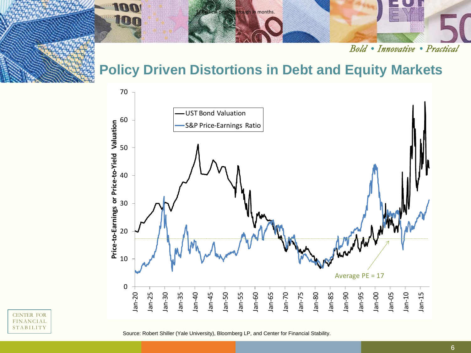

Bold • Innovative • Practical

### **Policy Driven Distortions in Debt and Equity Markets**



CENTER FOR FINANCIAL **STABILITY** 

Source: Robert Shiller (Yale University), Bloomberg LP, and Center for Financial Stability.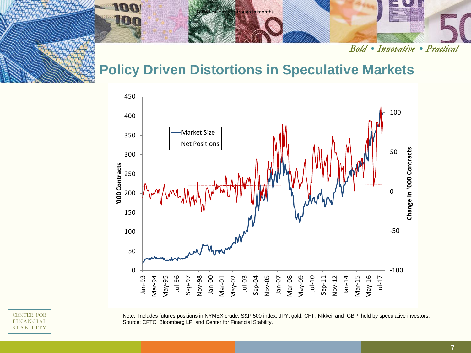

Bold • Innovative • Practical

#### **Policy Driven Distortions in Speculative Markets**



CENTER FOR FINANCIAL **STABILITY** 

Note: Includes futures positions in NYMEX crude, S&P 500 index, JPY, gold, CHF, Nikkei, and GBP held by speculative investors. Source: CFTC, Bloomberg LP, and Center for Financial Stability.